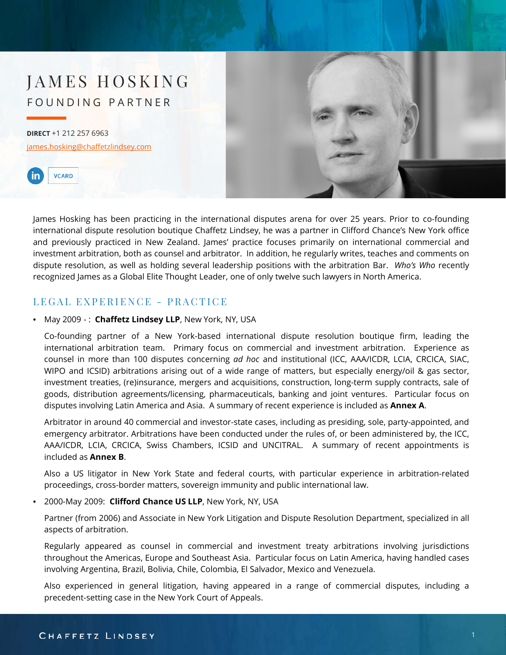# JAMES HOSKING FOUNDING PARTNER

**DIRECT** +1 212 257 6963 [james.hosking@chaffetzlindsey.com](mailto:gjames.hosking@chaffetzlindsey.com)





James Hosking has been practicing in the international disputes arena for over 25 years. Prior to co-founding international dispute resolution boutique Chaffetz Lindsey, he was a partner in Clifford Chance's New York office and previously practiced in New Zealand. James' practice focuses primarily on international commercial and investment arbitration, both as counsel and arbitrator. In addition, he regularly writes, teaches and comments on dispute resolution, as well as holding several leadership positions with the arbitration Bar. *Who's Who* recently recognized James as a Global Elite Thought Leader, one of only twelve such lawyers in North America.

### LEGAL EXPERIENCE - PRACTICE

#### • May 2009 - : **Chaffetz Lindsey LLP**, New York, NY, USA

Co-founding partner of a New York-based international dispute resolution boutique firm, leading the international arbitration team. Primary focus on commercial and investment arbitration. Experience as counsel in more than 100 disputes concerning *ad hoc* and institutional (ICC, AAA/ICDR, LCIA, CRCICA, SIAC, WIPO and ICSID) arbitrations arising out of a wide range of matters, but especially energy/oil & gas sector, investment treaties, (re)insurance, mergers and acquisitions, construction, long-term supply contracts, sale of goods, distribution agreements/licensing, pharmaceuticals, banking and joint ventures. Particular focus on disputes involving Latin America and Asia. A summary of recent experience is included as **Annex A**.

Arbitrator in around 40 commercial and investor-state cases, including as presiding, sole, party-appointed, and emergency arbitrator. Arbitrations have been conducted under the rules of, or been administered by, the ICC, AAA/ICDR, LCIA, CRCICA, Swiss Chambers, ICSID and UNCITRAL. A summary of recent appointments is included as **Annex B**.

Also a US litigator in New York State and federal courts, with particular experience in arbitration-related proceedings, cross-border matters, sovereign immunity and public international law.

• 2000-May 2009: **Clifford Chance US LLP**, New York, NY, USA

Partner (from 2006) and Associate in New York Litigation and Dispute Resolution Department, specialized in all aspects of arbitration.

Regularly appeared as counsel in commercial and investment treaty arbitrations involving jurisdictions throughout the Americas, Europe and Southeast Asia. Particular focus on Latin America, having handled cases involving Argentina, Brazil, Bolivia, Chile, Colombia, El Salvador, Mexico and Venezuela.

Also experienced in general litigation, having appeared in a range of commercial disputes, including a precedent-setting case in the New York Court of Appeals.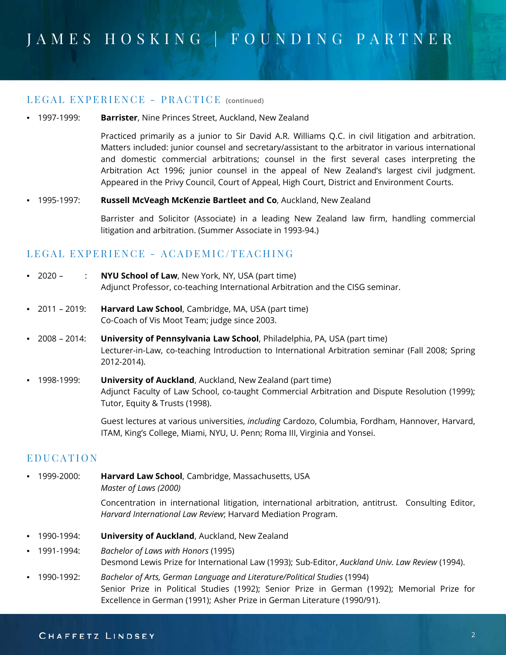#### LEGAL EXPERIENCE - PRACTICE **(continued)**

#### • 1997-1999: **Barrister**, Nine Princes Street, Auckland, New Zealand

Practiced primarily as a junior to Sir David A.R. Williams Q.C. in civil litigation and arbitration. Matters included: junior counsel and secretary/assistant to the arbitrator in various international and domestic commercial arbitrations; counsel in the first several cases interpreting the Arbitration Act 1996; junior counsel in the appeal of New Zealand's largest civil judgment. Appeared in the Privy Council, Court of Appeal, High Court, District and Environment Courts.

#### • 1995-1997: **Russell McVeagh McKenzie Bartleet and Co**, Auckland, New Zealand

Barrister and Solicitor (Associate) in a leading New Zealand law firm, handling commercial litigation and arbitration. (Summer Associate in 1993-94.)

### LEGAL EXPERIENCE - ACADEMIC/TEACHING

- 2020 : **NYU School of Law**, New York, NY, USA (part time) Adjunct Professor, co-teaching International Arbitration and the CISG seminar.
- 2011 2019: **Harvard Law School**, Cambridge, MA, USA (part time) Co-Coach of Vis Moot Team; judge since 2003.
- 2008 2014: **University of Pennsylvania Law School**, Philadelphia, PA, USA (part time) Lecturer-in-Law, co-teaching Introduction to International Arbitration seminar (Fall 2008; Spring 2012-2014).
- 1998-1999: **University of Auckland**, Auckland, New Zealand (part time) Adjunct Faculty of Law School, co-taught Commercial Arbitration and Dispute Resolution (1999); Tutor, Equity & Trusts (1998).

Guest lectures at various universities, *including* Cardozo, Columbia, Fordham, Hannover, Harvard, ITAM, King's College, Miami, NYU, U. Penn; Roma III, Virginia and Yonsei.

### EDUCATION

• 1999-2000: **Harvard Law School**, Cambridge, Massachusetts, USA *Master of Laws (2000)*

> Concentration in international litigation, international arbitration, antitrust. Consulting Editor, *Harvard International Law Review*; Harvard Mediation Program.

- 1990-1994: **University of Auckland**, Auckland, New Zealand
- 1991-1994: *Bachelor of Laws with Honors* (1995) Desmond Lewis Prize for International Law (1993); Sub-Editor, *Auckland Univ. Law Review* (1994).
- 1990-1992: *Bachelor of Arts, German Language and Literature/Political Studies* (1994) Senior Prize in Political Studies (1992); Senior Prize in German (1992); Memorial Prize for Excellence in German (1991); Asher Prize in German Literature (1990/91).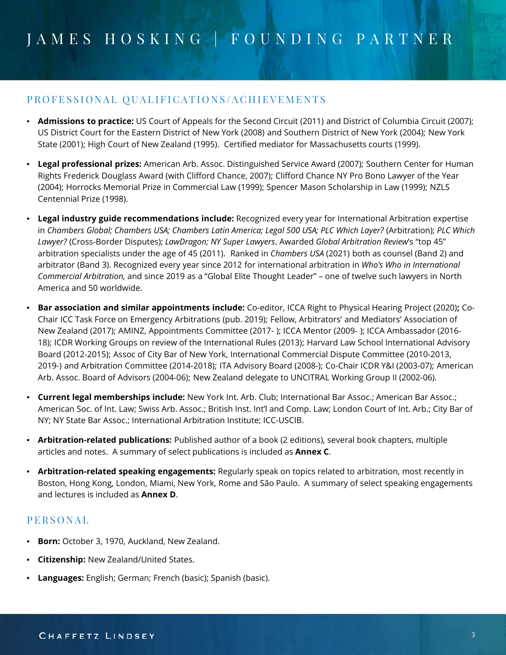## PROFESSIONAL QUALIFICATIONS/ACHIEVEMENTS

- **Admissions to practice:** US Court of Appeals for the Second Circuit (2011) and District of Columbia Circuit (2007); US District Court for the Eastern District of New York (2008) and Southern District of New York (2004); New York State (2001); High Court of New Zealand (1995). Certified mediator for Massachusetts courts (1999).
- **Legal professional prizes:** American Arb. Assoc. Distinguished Service Award (2007); Southern Center for Human Rights Frederick Douglass Award (with Clifford Chance, 2007); Clifford Chance NY Pro Bono Lawyer of the Year (2004); Horrocks Memorial Prize in Commercial Law (1999); Spencer Mason Scholarship in Law (1999); NZLS Centennial Prize (1998).
- **Legal industry guide recommendations include:** Recognized every year for International Arbitration expertise in Chambers Global; Chambers USA; Chambers Latin America; Legal 500 USA; PLC Which Layer? (Arbitration); PLC Which *Lawyer?* (Cross-Border Disputes); *LawDragon; NY Super Lawyers*. Awarded *Global Arbitration Review*'s "top 45" arbitration specialists under the age of 45 (2011). Ranked in *Chambers USA* (2021) both as counsel (Band 2) and arbitrator (Band 3). Recognized every year since 2012 for international arbitration in *Who's Who in International Commercial Arbitration,* and since 2019 as a "Global Elite Thought Leader" – one of twelve such lawyers in North America and 50 worldwide.
- **Bar association and similar appointments include:** Co-editor, ICCA Right to Physical Hearing Project (2020)**;** Co-Chair ICC Task Force on Emergency Arbitrations (pub. 2019); Fellow, Arbitrators' and Mediators' Association of New Zealand (2017); AMINZ, Appointments Committee (2017- ); ICCA Mentor (2009- ); ICCA Ambassador (2016- 18); ICDR Working Groups on review of the International Rules (2013); Harvard Law School International Advisory Board (2012-2015); Assoc of City Bar of New York, International Commercial Dispute Committee (2010-2013, 2019-) and Arbitration Committee (2014-2018); ITA Advisory Board (2008-); Co-Chair ICDR Y&I (2003-07); American Arb. Assoc. Board of Advisors (2004-06); New Zealand delegate to UNCITRAL Working Group II (2002-06).
- **Current legal memberships include:** New York Int. Arb. Club; International Bar Assoc.; American Bar Assoc.; American Soc. of Int. Law; Swiss Arb. Assoc.; British Inst. Int'l and Comp. Law; London Court of Int. Arb.; City Bar of NY; NY State Bar Assoc.; International Arbitration Institute; ICC-USCIB.
- **Arbitration-related publications:** Published author of a book (2 editions), several book chapters, multiple articles and notes. A summary of select publications is included as **Annex C**.
- **Arbitration-related speaking engagements:** Regularly speak on topics related to arbitration, most recently in Boston, Hong Kong, London, Miami, New York, Rome and São Paulo. A summary of select speaking engagements and lectures is included as **Annex D**.

### PERSONAL

- **Born:** October 3, 1970, Auckland, New Zealand.
- **Citizenship:** New Zealand/United States.
- **Languages:** English; German; French (basic); Spanish (basic).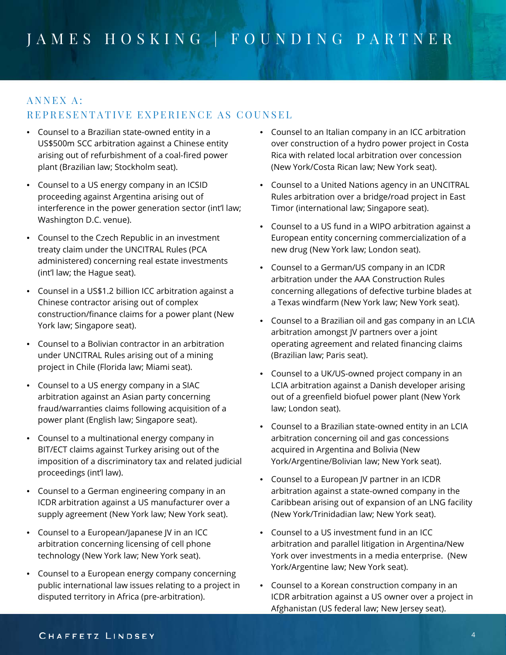# ANNEX A: REPRESENTATIVE EXPERIENCE AS COUNSEL

- Counsel to a Brazilian state-owned entity in a US\$500m SCC arbitration against a Chinese entity arising out of refurbishment of a coal-fired power plant (Brazilian law; Stockholm seat).
- Counsel to a US energy company in an ICSID proceeding against Argentina arising out of interference in the power generation sector (int'l law; Washington D.C. venue).
- Counsel to the Czech Republic in an investment treaty claim under the UNCITRAL Rules (PCA administered) concerning real estate investments (int'l law; the Hague seat).
- Counsel in a US\$1.2 billion ICC arbitration against a Chinese contractor arising out of complex construction/finance claims for a power plant (New York law; Singapore seat).
- Counsel to a Bolivian contractor in an arbitration under UNCITRAL Rules arising out of a mining project in Chile (Florida law; Miami seat).
- Counsel to a US energy company in a SIAC arbitration against an Asian party concerning fraud/warranties claims following acquisition of a power plant (English law; Singapore seat).
- Counsel to a multinational energy company in BIT/ECT claims against Turkey arising out of the imposition of a discriminatory tax and related judicial proceedings (int'l law).
- Counsel to a German engineering company in an ICDR arbitration against a US manufacturer over a supply agreement (New York law; New York seat).
- Counsel to a European/Japanese JV in an ICC arbitration concerning licensing of cell phone technology (New York law; New York seat).
- Counsel to a European energy company concerning public international law issues relating to a project in disputed territory in Africa (pre-arbitration).
- Counsel to an Italian company in an ICC arbitration over construction of a hydro power project in Costa Rica with related local arbitration over concession (New York/Costa Rican law; New York seat).
- Counsel to a United Nations agency in an UNCITRAL Rules arbitration over a bridge/road project in East Timor (international law; Singapore seat).
- Counsel to a US fund in a WIPO arbitration against a European entity concerning commercialization of a new drug (New York law; London seat).
- Counsel to a German/US company in an ICDR arbitration under the AAA Construction Rules concerning allegations of defective turbine blades at a Texas windfarm (New York law; New York seat).
- Counsel to a Brazilian oil and gas company in an LCIA arbitration amongst JV partners over a joint operating agreement and related financing claims (Brazilian law; Paris seat).
- Counsel to a UK/US-owned project company in an LCIA arbitration against a Danish developer arising out of a greenfield biofuel power plant (New York law; London seat).
- Counsel to a Brazilian state-owned entity in an LCIA arbitration concerning oil and gas concessions acquired in Argentina and Bolivia (New York/Argentine/Bolivian law; New York seat).
- Counsel to a European JV partner in an ICDR arbitration against a state-owned company in the Caribbean arising out of expansion of an LNG facility (New York/Trinidadian law; New York seat).
- Counsel to a US investment fund in an ICC arbitration and parallel litigation in Argentina/New York over investments in a media enterprise. (New York/Argentine law; New York seat).
- Counsel to a Korean construction company in an ICDR arbitration against a US owner over a project in Afghanistan (US federal law; New Jersey seat).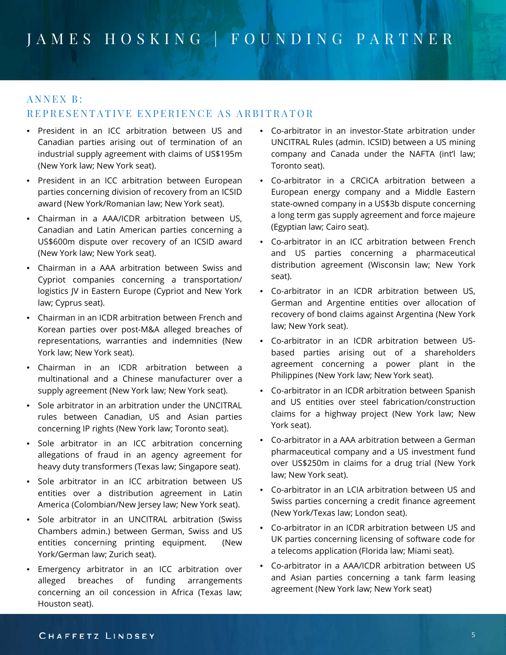### ANNEX B:

### REPRESENTATIVE EXPERIENCE AS ARBITRATOR

- President in an ICC arbitration between US and Canadian parties arising out of termination of an industrial supply agreement with claims of US\$195m (New York law; New York seat).
- President in an ICC arbitration between European parties concerning division of recovery from an ICSID award (New York/Romanian law; New York seat).
- Chairman in a AAA/ICDR arbitration between US, Canadian and Latin American parties concerning a US\$600m dispute over recovery of an ICSID award (New York law; New York seat).
- Chairman in a AAA arbitration between Swiss and Cypriot companies concerning a transportation/ logistics JV in Eastern Europe (Cypriot and New York law; Cyprus seat).
- Chairman in an ICDR arbitration between French and Korean parties over post-M&A alleged breaches of representations, warranties and indemnities (New York law; New York seat).
- Chairman in an ICDR arbitration between a multinational and a Chinese manufacturer over a supply agreement (New York law; New York seat).
- Sole arbitrator in an arbitration under the UNCITRAL rules between Canadian, US and Asian parties concerning IP rights (New York law; Toronto seat).
- Sole arbitrator in an ICC arbitration concerning allegations of fraud in an agency agreement for heavy duty transformers (Texas law; Singapore seat).
- Sole arbitrator in an ICC arbitration between US entities over a distribution agreement in Latin America (Colombian/New Jersey law; New York seat).
- Sole arbitrator in an UNCITRAL arbitration (Swiss Chambers admin.) between German, Swiss and US entities concerning printing equipment. (New York/German law; Zurich seat).
- Emergency arbitrator in an ICC arbitration over alleged breaches of funding arrangements concerning an oil concession in Africa (Texas law; Houston seat).
- Co-arbitrator in an investor-State arbitration under UNCITRAL Rules (admin. ICSID) between a US mining company and Canada under the NAFTA (int'l law; Toronto seat).
- Co-arbitrator in a CRCICA arbitration between a European energy company and a Middle Eastern state-owned company in a US\$3b dispute concerning a long term gas supply agreement and force majeure (Egyptian law; Cairo seat).
- Co-arbitrator in an ICC arbitration between French and US parties concerning a pharmaceutical distribution agreement (Wisconsin law; New York seat).
- Co-arbitrator in an ICDR arbitration between US, German and Argentine entities over allocation of recovery of bond claims against Argentina (New York law; New York seat).
- Co-arbitrator in an ICDR arbitration between USbased parties arising out of a shareholders agreement concerning a power plant in the Philippines (New York law; New York seat).
- Co-arbitrator in an ICDR arbitration between Spanish and US entities over steel fabrication/construction claims for a highway project (New York law; New York seat).
- Co-arbitrator in a AAA arbitration between a German pharmaceutical company and a US investment fund over US\$250m in claims for a drug trial (New York law; New York seat).
- Co-arbitrator in an LCIA arbitration between US and Swiss parties concerning a credit finance agreement (New York/Texas law; London seat).
- Co-arbitrator in an ICDR arbitration between US and UK parties concerning licensing of software code for a telecoms application (Florida law; Miami seat).
- Co-arbitrator in a AAA/ICDR arbitration between US and Asian parties concerning a tank farm leasing agreement (New York law; New York seat)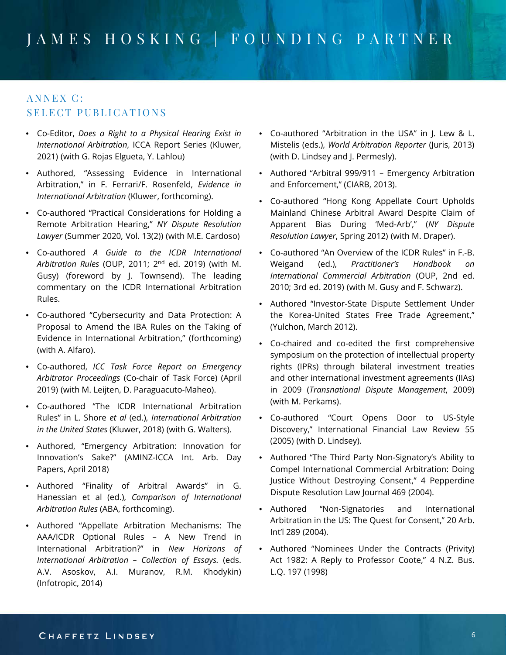## ANNEX C: SELECT PUBLICATIONS

- Co-Editor, *Does a Right to a Physical Hearing Exist in International Arbitration*, ICCA Report Series (Kluwer, 2021) (with G. Rojas Elgueta, Y. Lahlou)
- Authored, "Assessing Evidence in International Arbitration," in F. Ferrari/F. Rosenfeld, *Evidence in International Arbitration* (Kluwer, forthcoming).
- Co-authored "Practical Considerations for Holding a Remote Arbitration Hearing," *NY Dispute Resolution Lawyer* (Summer 2020, Vol. 13(2)) (with M.E. Cardoso)
- Co-authored *A Guide to the ICDR International Arbitration Rules* (OUP, 2011; 2nd ed. 2019) (with M. Gusy) (foreword by J. Townsend). The leading commentary on the ICDR International Arbitration Rules.
- Co-authored "Cybersecurity and Data Protection: A Proposal to Amend the IBA Rules on the Taking of Evidence in International Arbitration," (forthcoming) (with A. Alfaro).
- Co-authored, *ICC Task Force Report on Emergency Arbitrator Proceedings* (Co-chair of Task Force) (April 2019) (with M. Leijten, D. Paraguacuto-Maheo).
- Co-authored "The ICDR International Arbitration Rules" in L. Shore *et al* (ed.), *International Arbitration in the United States* (Kluwer, 2018) (with G. Walters).
- Authored, "Emergency Arbitration: Innovation for Innovation's Sake?" (AMINZ-ICCA Int. Arb. Day Papers, April 2018)
- Authored "Finality of Arbitral Awards" in G. Hanessian et al (ed.), *Comparison of International Arbitration Rules* (ABA, forthcoming).
- Authored "Appellate Arbitration Mechanisms: The AAA/ICDR Optional Rules – A New Trend in International Arbitration?" in *New Horizons of International Arbitration – Collection of Essays.* (eds. A.V. Asoskov, A.I. Muranov, R.M. Khodykin) (Infotropic, 2014)
- Co-authored "Arbitration in the USA" in J. Lew & L. Mistelis (eds.), *World Arbitration Reporter* (Juris, 2013) (with D. Lindsey and J. Permesly).
- Authored "Arbitral 999/911 Emergency Arbitration and Enforcement," (CIARB, 2013).
- Co-authored "Hong Kong Appellate Court Upholds Mainland Chinese Arbitral Award Despite Claim of Apparent Bias During 'Med-Arb'," (*NY Dispute Resolution Lawyer*, Spring 2012) (with M. Draper).
- Co-authored "An Overview of the ICDR Rules" in F.-B. Weigand (ed.), *Practitioner's Handbook on International Commercial Arbitration* (OUP, 2nd ed. 2010; 3rd ed. 2019) (with M. Gusy and F. Schwarz).
- Authored "Investor-State Dispute Settlement Under the Korea-United States Free Trade Agreement," (Yulchon, March 2012).
- Co-chaired and co-edited the first comprehensive symposium on the protection of intellectual property rights (IPRs) through bilateral investment treaties and other international investment agreements (IIAs) in 2009 (*Transnational Dispute Management*, 2009) (with M. Perkams).
- Co-authored "Court Opens Door to US-Style Discovery," International Financial Law Review 55 (2005) (with D. Lindsey).
- Authored "The Third Party Non-Signatory's Ability to Compel International Commercial Arbitration: Doing Justice Without Destroying Consent," 4 Pepperdine Dispute Resolution Law Journal 469 (2004).
- Authored "Non-Signatories and International Arbitration in the US: The Quest for Consent," 20 Arb. Int'l 289 (2004).
- Authored "Nominees Under the Contracts (Privity) Act 1982: A Reply to Professor Coote," 4 N.Z. Bus. L.Q. 197 (1998)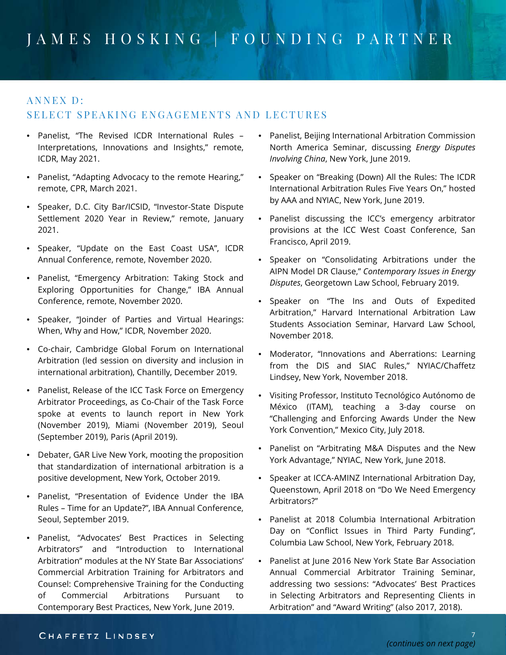### ANNEX D:

### SELECT SPEAKING ENGAGEMENTS AND LECTURES

- Panelist, "The Revised ICDR International Rules Interpretations, Innovations and Insights," remote, ICDR, May 2021.
- Panelist, "Adapting Advocacy to the remote Hearing," remote, CPR, March 2021.
- Speaker, D.C. City Bar/ICSID, "Investor-State Dispute Settlement 2020 Year in Review," remote, January 2021.
- Speaker, "Update on the East Coast USA", ICDR Annual Conference, remote, November 2020.
- Panelist, "Emergency Arbitration: Taking Stock and Exploring Opportunities for Change," IBA Annual Conference, remote, November 2020.
- Speaker, "Joinder of Parties and Virtual Hearings: When, Why and How," ICDR, November 2020.
- Co-chair, Cambridge Global Forum on International Arbitration (led session on diversity and inclusion in international arbitration), Chantilly, December 2019.
- Panelist, Release of the ICC Task Force on Emergency Arbitrator Proceedings, as Co-Chair of the Task Force spoke at events to launch report in New York (November 2019), Miami (November 2019), Seoul (September 2019), Paris (April 2019).
- Debater, GAR Live New York, mooting the proposition that standardization of international arbitration is a positive development, New York, October 2019.
- Panelist, "Presentation of Evidence Under the IBA Rules – Time for an Update?", IBA Annual Conference, Seoul, September 2019.
- Panelist, "Advocates' Best Practices in Selecting Arbitrators" and "Introduction to International Arbitration" modules at the NY State Bar Associations' Commercial Arbitration Training for Arbitrators and Counsel: Comprehensive Training for the Conducting of Commercial Arbitrations Pursuant to Contemporary Best Practices, New York, June 2019.
- Panelist, Beijing International Arbitration Commission North America Seminar, discussing *Energy Disputes Involving China*, New York, June 2019.
- Speaker on "Breaking (Down) All the Rules: The ICDR International Arbitration Rules Five Years On," hosted by AAA and NYIAC, New York, June 2019.
- Panelist discussing the ICC's emergency arbitrator provisions at the ICC West Coast Conference, San Francisco, April 2019.
- Speaker on "Consolidating Arbitrations under the AIPN Model DR Clause," *Contemporary Issues in Energy Disputes*, Georgetown Law School, February 2019.
- Speaker on "The Ins and Outs of Expedited Arbitration," Harvard International Arbitration Law Students Association Seminar, Harvard Law School, November 2018.
- Moderator, "Innovations and Aberrations: Learning from the DIS and SIAC Rules," NYIAC/Chaffetz Lindsey, New York, November 2018.
- Visiting Professor, Instituto Tecnológico Autónomo de México (ITAM), teaching a 3-day course on "Challenging and Enforcing Awards Under the New York Convention," Mexico City, July 2018.
- Panelist on "Arbitrating M&A Disputes and the New York Advantage," NYIAC, New York, June 2018.
- Speaker at ICCA-AMINZ International Arbitration Day, Queenstown, April 2018 on "Do We Need Emergency Arbitrators?"
- Panelist at 2018 Columbia International Arbitration Day on "Conflict Issues in Third Party Funding", Columbia Law School, New York, February 2018.
- Panelist at June 2016 New York State Bar Association Annual Commercial Arbitrator Training Seminar, addressing two sessions: "Advocates' Best Practices in Selecting Arbitrators and Representing Clients in Arbitration" and "Award Writing" (also 2017, 2018).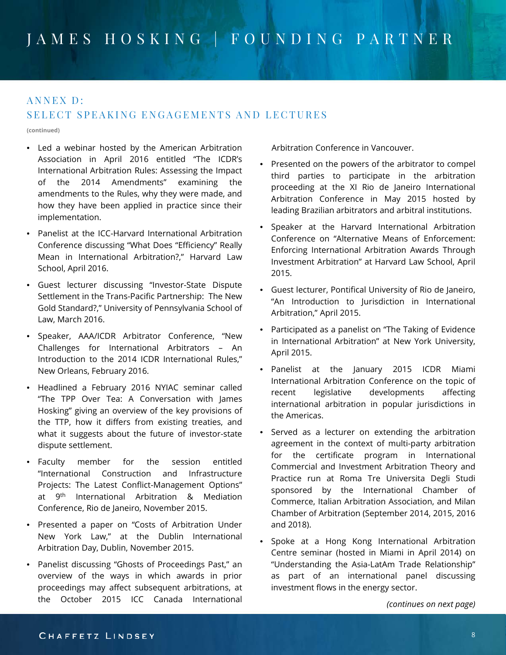### ANNEX D:

### SELECT SPEAKING ENGAGEMENTS AND LECTURES

**(continued)**

- Led a webinar hosted by the American Arbitration Association in April 2016 entitled "The ICDR's International Arbitration Rules: Assessing the Impact of the 2014 Amendments" examining the amendments to the Rules, why they were made, and how they have been applied in practice since their implementation.
- Panelist at the ICC-Harvard International Arbitration Conference discussing "What Does "Efficiency" Really Mean in International Arbitration?," Harvard Law School, April 2016.
- Guest lecturer discussing "Investor-State Dispute Settlement in the Trans-Pacific Partnership: The New Gold Standard?," University of Pennsylvania School of Law, March 2016.
- Speaker, AAA/ICDR Arbitrator Conference, "New Challenges for International Arbitrators – An Introduction to the 2014 ICDR International Rules," New Orleans, February 2016.
- Headlined a February 2016 NYIAC seminar called "The TPP Over Tea: A Conversation with James Hosking" giving an overview of the key provisions of the TTP, how it differs from existing treaties, and what it suggests about the future of investor-state dispute settlement.
- Faculty member for the session entitled "International Construction and Infrastructure Projects: The Latest Conflict-Management Options" at 9th International Arbitration & Mediation Conference, Rio de Janeiro, November 2015.
- Presented a paper on "Costs of Arbitration Under New York Law," at the Dublin International Arbitration Day, Dublin, November 2015.
- Panelist discussing "Ghosts of Proceedings Past," an overview of the ways in which awards in prior proceedings may affect subsequent arbitrations, at the October 2015 ICC Canada International

Arbitration Conference in Vancouver.

- Presented on the powers of the arbitrator to compel third parties to participate in the arbitration proceeding at the XI Rio de Janeiro International Arbitration Conference in May 2015 hosted by leading Brazilian arbitrators and arbitral institutions.
- Speaker at the Harvard International Arbitration Conference on "Alternative Means of Enforcement: Enforcing International Arbitration Awards Through Investment Arbitration" at Harvard Law School, April 2015.
- Guest lecturer, Pontifical University of Rio de Janeiro, "An Introduction to Jurisdiction in International Arbitration," April 2015.
- Participated as a panelist on "The Taking of Evidence in International Arbitration" at New York University, April 2015.
- Panelist at the January 2015 ICDR Miami International Arbitration Conference on the topic of recent legislative developments affecting international arbitration in popular jurisdictions in the Americas.
- Served as a lecturer on extending the arbitration agreement in the context of multi-party arbitration for the certificate program in International Commercial and Investment Arbitration Theory and Practice run at Roma Tre Universita Degli Studi sponsored by the International Chamber of Commerce, Italian Arbitration Association, and Milan Chamber of Arbitration (September 2014, 2015, 2016 and 2018).
- Spoke at a Hong Kong International Arbitration Centre seminar (hosted in Miami in April 2014) on "Understanding the Asia-LatAm Trade Relationship" as part of an international panel discussing investment flows in the energy sector.

*(continues on next page)*